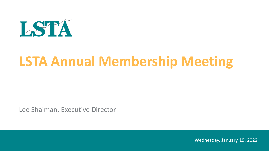

# **LSTA Annual Membership Meeting**

Lee Shaiman, Executive Director

Wednesday, January 19, 2022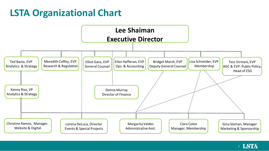## **LSTA Organizational Chart**



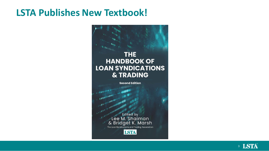#### **LSTA Publishes New Textbook!**



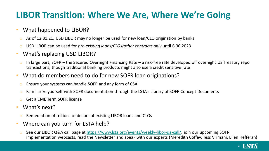#### **LIBOR Transition: Where We Are, Where We're Going**

#### • What happened to LIBOR?

- $\circ$  As of 12.31.21, USD LIBOR may no longer be used for new loan/CLO origination by banks
- o USD LIBOR can be used for *pre-existing loans/CLOs/other contracts only* until 6.30.2023
- What's replacing USD LIBOR?
	- $\circ$  In large part, SOFR the Secured Overnight Financing Rate a risk-free rate developed off overnight US Treasury repo transactions, though traditional banking products might also use a credit sensitive rate
- What do members need to do for new SOFR loan originations?
	- o Ensure your systems can handle SOFR and any form of CSA
	- $\circ$  Familiarize yourself with SOFR documentation through the LSTA's Library of SOFR Concept Documents
	- o Get a CME Term SOFR license
- What's next?
	- o Remediation of trillions of dollars of existing LIBOR loans and CLOs
- Where can you turn for LSTA help?
	- o See our LIBOR Q&A call page at [https://www.lsta.org/events/weekly-libor-qa-call/,](https://www.lsta.org/events/weekly-libor-qa-call/) join our upcoming SOFR implementation webcasts, read the Newsletter and speak with our experts (Meredith Coffey, Tess Virmani, Ellen Hefferan)

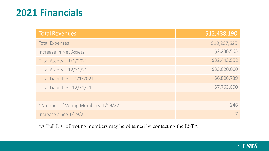## **2021 Financials**

| <b>Total Revenues</b>             | \$12,438,190 |
|-----------------------------------|--------------|
| <b>Total Expenses</b>             | \$10,207,625 |
| Increase in Net Assets            | \$2,230,565  |
| Total Assets $-1/1/2021$          | \$32,443,552 |
| Total Assets $-12/31/21$          | \$35,620,000 |
| Total Liabilities - 1/1/2021      | \$6,806,739  |
| Total Liabilities -12/31/21       | \$7,763,000  |
|                                   |              |
| *Number of Voting Members 1/19/22 | 246          |
| Increase since $1/19/21$          |              |

\*A Full List of voting members may be obtained by contacting the LSTA

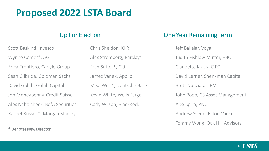## **Proposed 2022 LSTA Board**

Scott Baskind, Invesco Wynne Comer\*, AGL Erica Frontiero, Carlyle Group Sean Gilbride, Goldman Sachs David Golub, Golub Capital Jon Moneypenny, Credit Suisse Alex Naboicheck, BofA Securities Rachel Russell\*, Morgan Stanley

\* Denotes New Director

Chris Sheldon, KKR Alex Stromberg, Barclays Fran Sutter\*, Citi James Vanek, Apollo Mike Weir\*, Deutsche Bank Kevin White, Wells Fargo Carly Wilson, BlackRock

#### Up For Election One Year Remaining Term

Jeff Bakalar, Voya Judith Fishlow Minter, RBC Claudette Kraus, CIFC David Lerner, Shenkman Capital Brett Nunziata, JPM John Popp, CS Asset Management Alex Spiro, PNC Andrew Sveen, Eaton Vance Tommy Wong, Oak Hill Advisors